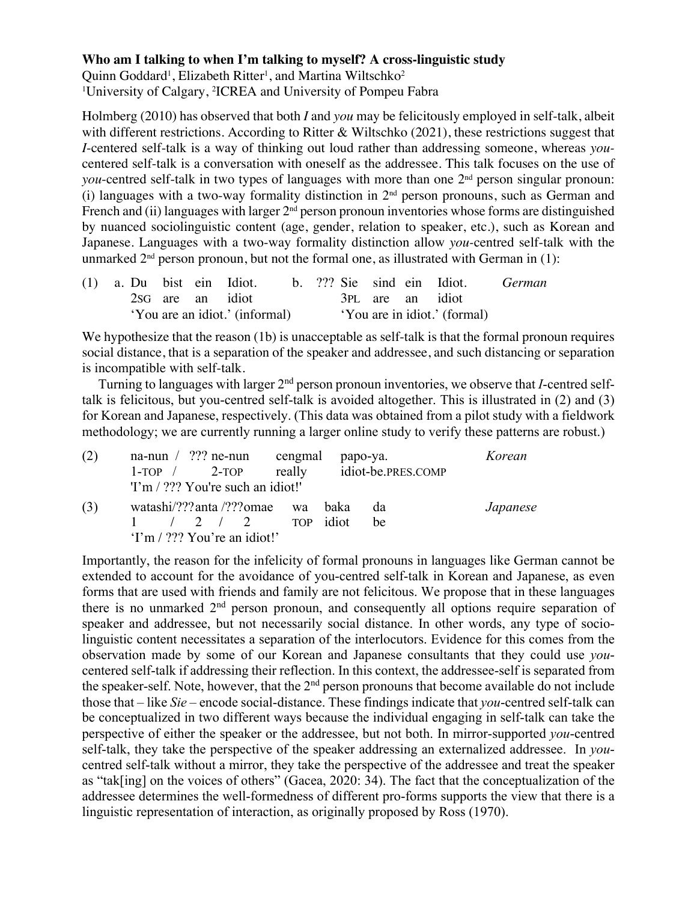## **Who am I talking to when I'm talking to myself? A cross-linguistic study**

Quinn Goddard<sup>1</sup>, Elizabeth Ritter<sup>1</sup>, and Martina Wiltschko<sup>2</sup> 1 University of Calgary, 2 ICREA and University of Pompeu Fabra

Holmberg (2010) has observed that both *I* and *you* may be felicitously employed in self-talk, albeit with different restrictions. According to Ritter & Wiltschko (2021), these restrictions suggest that *I*-centered self-talk is a way of thinking out loud rather than addressing someone, whereas *you*centered self-talk is a conversation with oneself as the addressee. This talk focuses on the use of *you*-centred self-talk in two types of languages with more than one 2<sup>nd</sup> person singular pronoun: (i) languages with a two-way formality distinction in  $2<sup>nd</sup>$  person pronouns, such as German and French and (ii) languages with larger  $2<sup>nd</sup>$  person pronoun inventories whose forms are distinguished by nuanced sociolinguistic content (age, gender, relation to speaker, etc.), such as Korean and Japanese. Languages with a two-way formality distinction allow *you-*centred self-talk with the unmarked  $2<sup>nd</sup>$  person pronoun, but not the formal one, as illustrated with German in (1):

|  |                                |  |  | (1) a. Du bist ein Idiot. b. ??? Sie sind ein Idiot. |  |                              |  |  |  |                  | <i>German</i> |
|--|--------------------------------|--|--|------------------------------------------------------|--|------------------------------|--|--|--|------------------|---------------|
|  |                                |  |  | 2sG are an idiot                                     |  |                              |  |  |  | 3PL are an idiot |               |
|  | 'You are an idiot.' (informal) |  |  |                                                      |  | 'You are in idiot.' (formal) |  |  |  |                  |               |

We hypothesize that the reason (1b) is unacceptable as self-talk is that the formal pronoun requires social distance, that is a separation of the speaker and addressee, and such distancing or separation is incompatible with self-talk.

Turning to languages with larger 2nd person pronoun inventories, we observe that *I*-centred selftalk is felicitous, but you-centred self-talk is avoided altogether. This is illustrated in (2) and (3) for Korean and Japanese, respectively. (This data was obtained from a pilot study with a fieldwork methodology; we are currently running a larger online study to verify these patterns are robust.)

| (2) | na-nun $/$ ??? ne-nun cengmal papo-ya.<br>$1$ -TOP $/$ 2-TOP<br>'I'm / ??? You're such an idiot!'                       |  | really idiot-be.PRES.COMP | Korean   |
|-----|-------------------------------------------------------------------------------------------------------------------------|--|---------------------------|----------|
| (3) | watashi/???anta /???omae wa baka<br>$1 \quad 2 \quad 2 \quad 3 \quad \text{TOP}$ idiot<br>$Tm / ?$ ?? You're an idiot!' |  | da<br>be                  | Japanese |

Importantly, the reason for the infelicity of formal pronouns in languages like German cannot be extended to account for the avoidance of you-centred self-talk in Korean and Japanese, as even forms that are used with friends and family are not felicitous. We propose that in these languages there is no unmarked  $2<sup>nd</sup>$  person pronoun, and consequently all options require separation of speaker and addressee, but not necessarily social distance. In other words, any type of sociolinguistic content necessitates a separation of the interlocutors. Evidence for this comes from the observation made by some of our Korean and Japanese consultants that they could use *you*centered self-talk if addressing their reflection. In this context, the addressee-self is separated from the speaker-self. Note, however, that the  $2<sup>nd</sup>$  person pronouns that become available do not include those that – like *Sie* – encode social-distance. These findings indicate that *you*-centred self-talk can be conceptualized in two different ways because the individual engaging in self-talk can take the perspective of either the speaker or the addressee, but not both. In mirror-supported *you*-centred self-talk, they take the perspective of the speaker addressing an externalized addressee. In *you*centred self-talk without a mirror, they take the perspective of the addressee and treat the speaker as "tak[ing] on the voices of others" (Gacea, 2020: 34). The fact that the conceptualization of the addressee determines the well-formedness of different pro-forms supports the view that there is a linguistic representation of interaction, as originally proposed by Ross (1970).